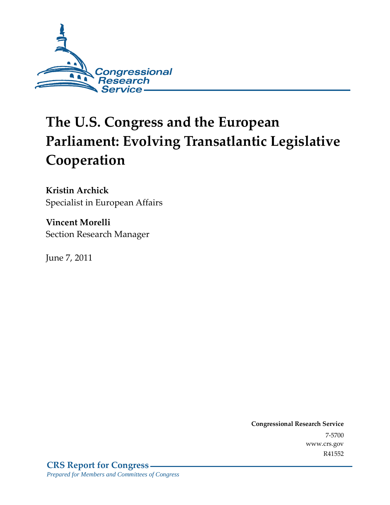

# **The U.S. Congress and the European Parliament: Evolving Transatlantic Legislative Cooperation**

**Kristin Archick**  Specialist in European Affairs

**Vincent Morelli**  Section Research Manager

June 7, 2011

**Congressional Research Service** 7-5700 www.crs.gov R41552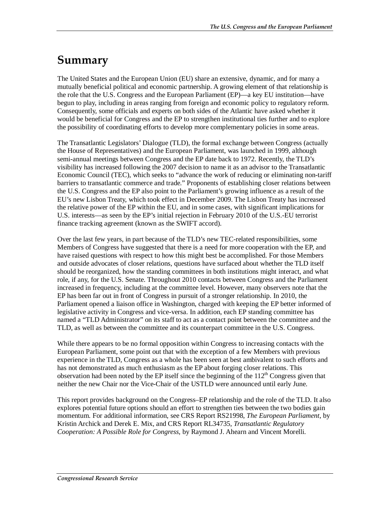# **Summary**

The United States and the European Union (EU) share an extensive, dynamic, and for many a mutually beneficial political and economic partnership. A growing element of that relationship is the role that the U.S. Congress and the European Parliament (EP)—a key EU institution—have begun to play, including in areas ranging from foreign and economic policy to regulatory reform. Consequently, some officials and experts on both sides of the Atlantic have asked whether it would be beneficial for Congress and the EP to strengthen institutional ties further and to explore the possibility of coordinating efforts to develop more complementary policies in some areas.

The Transatlantic Legislators' Dialogue (TLD), the formal exchange between Congress (actually the House of Representatives) and the European Parliament, was launched in 1999, although semi-annual meetings between Congress and the EP date back to 1972. Recently, the TLD's visibility has increased following the 2007 decision to name it as an advisor to the Transatlantic Economic Council (TEC), which seeks to "advance the work of reducing or eliminating non-tariff barriers to transatlantic commerce and trade." Proponents of establishing closer relations between the U.S. Congress and the EP also point to the Parliament's growing influence as a result of the EU's new Lisbon Treaty, which took effect in December 2009. The Lisbon Treaty has increased the relative power of the EP within the EU, and in some cases, with significant implications for U.S. interests—as seen by the EP's initial rejection in February 2010 of the U.S.-EU terrorist finance tracking agreement (known as the SWIFT accord).

Over the last few years, in part because of the TLD's new TEC-related responsibilities, some Members of Congress have suggested that there is a need for more cooperation with the EP, and have raised questions with respect to how this might best be accomplished. For those Members and outside advocates of closer relations, questions have surfaced about whether the TLD itself should be reorganized, how the standing committees in both institutions might interact, and what role, if any, for the U.S. Senate. Throughout 2010 contacts between Congress and the Parliament increased in frequency, including at the committee level. However, many observers note that the EP has been far out in front of Congress in pursuit of a stronger relationship. In 2010, the Parliament opened a liaison office in Washington, charged with keeping the EP better informed of legislative activity in Congress and vice-versa. In addition, each EP standing committee has named a "TLD Administrator" on its staff to act as a contact point between the committee and the TLD, as well as between the committee and its counterpart committee in the U.S. Congress.

While there appears to be no formal opposition within Congress to increasing contacts with the European Parliament, some point out that with the exception of a few Members with previous experience in the TLD, Congress as a whole has been seen at best ambivalent to such efforts and has not demonstrated as much enthusiasm as the EP about forging closer relations. This observation had been noted by the EP itself since the beginning of the  $112<sup>th</sup>$  Congress given that neither the new Chair nor the Vice-Chair of the USTLD were announced until early June.

This report provides background on the Congress–EP relationship and the role of the TLD. It also explores potential future options should an effort to strengthen ties between the two bodies gain momentum. For additional information, see CRS Report RS21998, *The European Parliament*, by Kristin Archick and Derek E. Mix, and CRS Report RL34735, *Transatlantic Regulatory Cooperation: A Possible Role for Congress*, by Raymond J. Ahearn and Vincent Morelli.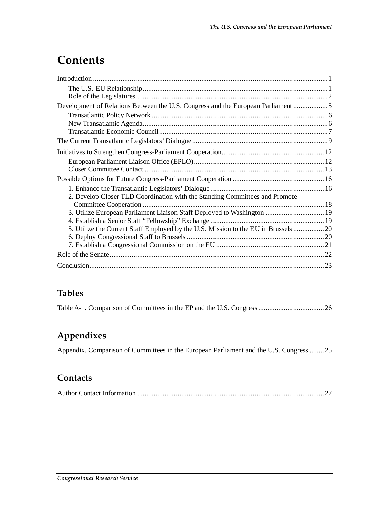# **Contents**

| Development of Relations Between the U.S. Congress and the European Parliament5 |  |
|---------------------------------------------------------------------------------|--|
|                                                                                 |  |
|                                                                                 |  |
|                                                                                 |  |
|                                                                                 |  |
|                                                                                 |  |
|                                                                                 |  |
|                                                                                 |  |
|                                                                                 |  |
|                                                                                 |  |
| 2. Develop Closer TLD Coordination with the Standing Committees and Promote     |  |
|                                                                                 |  |
| 3. Utilize European Parliament Liaison Staff Deployed to Washington  19         |  |
|                                                                                 |  |
|                                                                                 |  |
|                                                                                 |  |
|                                                                                 |  |
|                                                                                 |  |
|                                                                                 |  |

### **Tables**

|--|--|--|--|

### **Appendixes**

Appendix. Comparison of Committees in the European Parliament and the U.S. Congress ........25

#### **Contacts**

|--|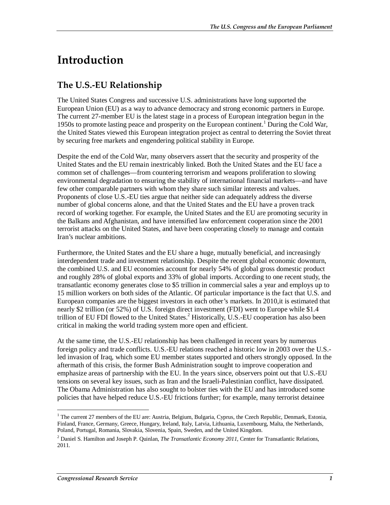# **Introduction**

## **The U.S.-EU Relationship**

The United States Congress and successive U.S. administrations have long supported the European Union (EU) as a way to advance democracy and strong economic partners in Europe. The current 27-member EU is the latest stage in a process of European integration begun in the 1950s to promote lasting peace and prosperity on the European continent.<sup>1</sup> During the Cold War, the United States viewed this European integration project as central to deterring the Soviet threat by securing free markets and engendering political stability in Europe.

Despite the end of the Cold War, many observers assert that the security and prosperity of the United States and the EU remain inextricably linked. Both the United States and the EU face a common set of challenges—from countering terrorism and weapons proliferation to slowing environmental degradation to ensuring the stability of international financial markets—and have few other comparable partners with whom they share such similar interests and values. Proponents of close U.S.-EU ties argue that neither side can adequately address the diverse number of global concerns alone, and that the United States and the EU have a proven track record of working together. For example, the United States and the EU are promoting security in the Balkans and Afghanistan, and have intensified law enforcement cooperation since the 2001 terrorist attacks on the United States, and have been cooperating closely to manage and contain Iran's nuclear ambitions.

Furthermore, the United States and the EU share a huge, mutually beneficial, and increasingly interdependent trade and investment relationship. Despite the recent global economic downturn, the combined U.S. and EU economies account for nearly 54% of global gross domestic product and roughly 28% of global exports and 33% of global imports. According to one recent study, the transatlantic economy generates close to \$5 trillion in commercial sales a year and employs up to 15 million workers on both sides of the Atlantic. Of particular importance is the fact that U.S. and European companies are the biggest investors in each other's markets. In 2010,it is estimated that nearly \$2 trillion (or 52%) of U.S. foreign direct investment (FDI) went to Europe while \$1.4 trillion of EU FDI flowed to the United States.<sup>2</sup> Historically, U.S.-EU cooperation has also been critical in making the world trading system more open and efficient.

At the same time, the U.S.-EU relationship has been challenged in recent years by numerous foreign policy and trade conflicts. U.S.-EU relations reached a historic low in 2003 over the U.S. led invasion of Iraq, which some EU member states supported and others strongly opposed. In the aftermath of this crisis, the former Bush Administration sought to improve cooperation and emphasize areas of partnership with the EU. In the years since, observers point out that U.S.-EU tensions on several key issues, such as Iran and the Israeli-Palestinian conflict, have dissipated. The Obama Administration has also sought to bolster ties with the EU and has introduced some policies that have helped reduce U.S.-EU frictions further; for example, many terrorist detainee

<sup>&</sup>lt;u>.</u> <sup>1</sup> The current 27 members of the EU are: Austria, Belgium, Bulgaria, Cyprus, the Czech Republic, Denmark, Estonia, Finland, France, Germany, Greece, Hungary, Ireland, Italy, Latvia, Lithuania, Luxembourg, Malta, the Netherlands, Poland, Portugal, Romania, Slovakia, Slovenia, Spain, Sweden, and the United Kingdom.

<sup>2</sup> Daniel S. Hamilton and Joseph P. Quinlan, *The Transatlantic Economy 2011*, Center for Transatlantic Relations, 2011.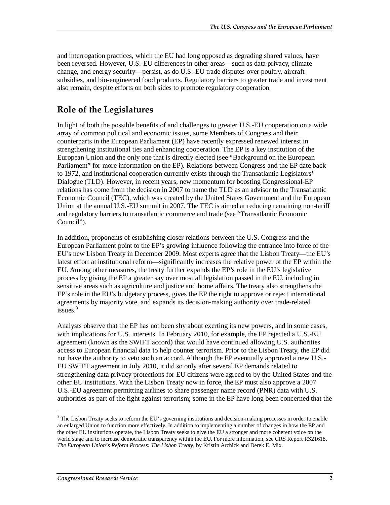and interrogation practices, which the EU had long opposed as degrading shared values, have been reversed. However, U.S.-EU differences in other areas—such as data privacy, climate change, and energy security—persist, as do U.S.-EU trade disputes over poultry, aircraft subsidies, and bio-engineered food products. Regulatory barriers to greater trade and investment also remain, despite efforts on both sides to promote regulatory cooperation.

### **Role of the Legislatures**

In light of both the possible benefits of and challenges to greater U.S.-EU cooperation on a wide array of common political and economic issues, some Members of Congress and their counterparts in the European Parliament (EP) have recently expressed renewed interest in strengthening institutional ties and enhancing cooperation. The EP is a key institution of the European Union and the only one that is directly elected (see "Background on the European Parliament" for more information on the EP). Relations between Congress and the EP date back to 1972, and institutional cooperation currently exists through the Transatlantic Legislators' Dialogue (TLD). However, in recent years, new momentum for boosting Congressional-EP relations has come from the decision in 2007 to name the TLD as an advisor to the Transatlantic Economic Council (TEC), which was created by the United States Government and the European Union at the annual U.S.-EU summit in 2007. The TEC is aimed at reducing remaining non-tariff and regulatory barriers to transatlantic commerce and trade (see "Transatlantic Economic Council").

In addition, proponents of establishing closer relations between the U.S. Congress and the European Parliament point to the EP's growing influence following the entrance into force of the EU's new Lisbon Treaty in December 2009. Most experts agree that the Lisbon Treaty—the EU's latest effort at institutional reform—significantly increases the relative power of the EP within the EU. Among other measures, the treaty further expands the EP's role in the EU's legislative process by giving the EP a greater say over most all legislation passed in the EU, including in sensitive areas such as agriculture and justice and home affairs. The treaty also strengthens the EP's role in the EU's budgetary process, gives the EP the right to approve or reject international agreements by majority vote, and expands its decision-making authority over trade-related issues.<sup>3</sup>

Analysts observe that the EP has not been shy about exerting its new powers, and in some cases, with implications for U.S. interests. In February 2010, for example, the EP rejected a U.S.-EU agreement (known as the SWIFT accord) that would have continued allowing U.S. authorities access to European financial data to help counter terrorism. Prior to the Lisbon Treaty, the EP did not have the authority to veto such an accord. Although the EP eventually approved a new U.S.- EU SWIFT agreement in July 2010, it did so only after several EP demands related to strengthening data privacy protections for EU citizens were agreed to by the United States and the other EU institutions. With the Lisbon Treaty now in force, the EP must also approve a 2007 U.S.-EU agreement permitting airlines to share passenger name record (PNR) data with U.S. authorities as part of the fight against terrorism; some in the EP have long been concerned that the

<sup>&</sup>lt;sup>3</sup> The Lisbon Treaty seeks to reform the EU's governing institutions and decision-making processes in order to enable an enlarged Union to function more effectively. In addition to implementing a number of changes in how the EP and the other EU institutions operate, the Lisbon Treaty seeks to give the EU a stronger and more coherent voice on the world stage and to increase democratic transparency within the EU. For more information, see CRS Report RS21618, *The European Union's Reform Process: The Lisbon Treaty*, by Kristin Archick and Derek E. Mix.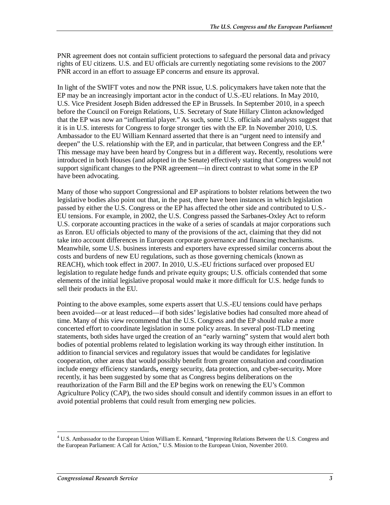PNR agreement does not contain sufficient protections to safeguard the personal data and privacy rights of EU citizens. U.S. and EU officials are currently negotiating some revisions to the 2007 PNR accord in an effort to assuage EP concerns and ensure its approval.

In light of the SWIFT votes and now the PNR issue, U.S. policymakers have taken note that the EP may be an increasingly important actor in the conduct of U.S.-EU relations. In May 2010, U.S. Vice President Joseph Biden addressed the EP in Brussels. In September 2010, in a speech before the Council on Foreign Relations, U.S. Secretary of State Hillary Clinton acknowledged that the EP was now an "influential player." As such, some U.S. officials and analysts suggest that it is in U.S. interests for Congress to forge stronger ties with the EP. In November 2010, U.S. Ambassador to the EU William Kennard asserted that there is an "urgent need to intensify and deepen" the U.S. relationship with the EP, and in particular, that between Congress and the EP.<sup>4</sup> This message may have been heard by Congress but in a different way**.** Recently, resolutions were introduced in both Houses (and adopted in the Senate) effectively stating that Congress would not support significant changes to the PNR agreement—in direct contrast to what some in the EP have been advocating.

Many of those who support Congressional and EP aspirations to bolster relations between the two legislative bodies also point out that, in the past, there have been instances in which legislation passed by either the U.S. Congress or the EP has affected the other side and contributed to U.S.- EU tensions. For example, in 2002, the U.S. Congress passed the Sarbanes-Oxley Act to reform U.S. corporate accounting practices in the wake of a series of scandals at major corporations such as Enron. EU officials objected to many of the provisions of the act, claiming that they did not take into account differences in European corporate governance and financing mechanisms. Meanwhile, some U.S. business interests and exporters have expressed similar concerns about the costs and burdens of new EU regulations, such as those governing chemicals (known as REACH), which took effect in 2007. In 2010, U.S.-EU frictions surfaced over proposed EU legislation to regulate hedge funds and private equity groups; U.S. officials contended that some elements of the initial legislative proposal would make it more difficult for U.S. hedge funds to sell their products in the EU.

Pointing to the above examples, some experts assert that U.S.-EU tensions could have perhaps been avoided—or at least reduced—if both sides' legislative bodies had consulted more ahead of time. Many of this view recommend that the U.S. Congress and the EP should make a more concerted effort to coordinate legislation in some policy areas. In several post-TLD meeting statements, both sides have urged the creation of an "early warning" system that would alert both bodies of potential problems related to legislation working its way through either institution. In addition to financial services and regulatory issues that would be candidates for legislative cooperation, other areas that would possibly benefit from greater consultation and coordination include energy efficiency standards**,** energy security, data protection, and cyber-security**.** More recently, it has been suggested by some that as Congress begins deliberations on the reauthorization of the Farm Bill and the EP begins work on renewing the EU's Common Agriculture Policy (CAP), the two sides should consult and identify common issues in an effort to avoid potential problems that could result from emerging new policies.

-

<sup>4</sup> U.S. Ambassador to the European Union William E. Kennard, "Improving Relations Between the U.S. Congress and the European Parliament: A Call for Action," U.S. Mission to the European Union, November 2010.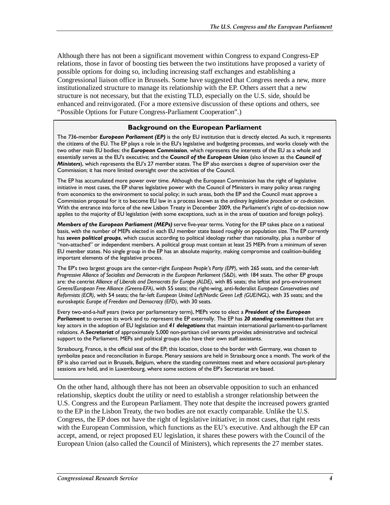Although there has not been a significant movement within Congress to expand Congress-EP relations, those in favor of boosting ties between the two institutions have proposed a variety of possible options for doing so, including increasing staff exchanges and establishing a Congressional liaison office in Brussels. Some have suggested that Congress needs a new, more institutionalized structure to manage its relationship with the EP. Others assert that a new structure is not necessary, but that the existing TLD, especially on the U.S. side, should be enhanced and reinvigorated. (For a more extensive discussion of these options and others, see "Possible Options for Future Congress-Parliament Cooperation".)

#### **Background on the European Parliament**

The 736-member *European Parliament (EP)* is the only EU institution that is directly elected. As such, it represents the citizens of the EU. The EP plays a role in the EU's legislative and budgeting processes, and works closely with the two other main EU bodies: the *European Commission*, which represents the interests of the EU as a whole and essentially serves as the EU's executive; and the *Council of the European Union* (also known as the *Council of Ministers*), which represents the EU's 27 member states. The EP also exercises a degree of supervision over the Commission; it has more limited oversight over the activities of the Council.

The EP has accumulated more power over time. Although the European Commission has the right of legislative initiative in most cases, the EP shares legislative power with the Council of Ministers in many policy areas ranging from economics to the environment to social policy; in such areas, both the EP and the Council must approve a Commission proposal for it to become EU law in a process known as the *ordinary legislative procedure* or *co-decision.* With the entrance into force of the new Lisbon Treaty in December 2009, the Parliament's right of co-decision now applies to the majority of EU legislation (with some exceptions, such as in the areas of taxation and foreign policy).

*Members of the European Parliament (MEPs)* serve five-year terms. Voting for the EP takes place on a national basis, with the number of MEPs elected in each EU member state based roughly on population size. The EP currently has *seven political groups*, which caucus according to political ideology rather than nationality, plus a number of "non-attached" or independent members. A political group must contain at least 25 MEPs from a minimum of seven EU member states. No single group in the EP has an absolute majority, making compromise and coalition-building important elements of the legislative process.

The EP's two largest groups are the center-right *European People's Party (EPP)*, with 265 seats, and the center-left *Progressive Alliance of Socialists and Democrats in the European Parliament (S&D)*, with 184 seats. The other EP groups are: the centrist *Alliance of Liberals and Democrats for Europe (ALDE)*, with 85 seats; the leftist and pro-environment *Greens/European Free Alliance (Greens-EFA)*, with 55 seats; the right-wing, anti-federalist *European Conservatives and Reformists (ECR)*, with 54 seats; the far-left *European United Left/Nordic Green Left (GUE/NGL)*, with 35 seats; and the euroskeptic *Europe of Freedom and Democracy (EFD)*, with 30 seats.

Every two-and-a-half years (twice per parliamentary term), MEPs vote to elect a *President of the European Parliament* to oversee its work and to represent the EP externally. The EP has *20 standing committees* that are key actors in the adoption of EU legislation and *41 delegations* that maintain international parliament-to-parliament relations. A *Secretariat* of approximately 5,000 non-partisan civil servants provides administrative and technical support to the Parliament. MEPs and political groups also have their own staff assistants.

Strasbourg, France, is the official seat of the EP; this location, close to the border with Germany, was chosen to symbolize peace and reconciliation in Europe. Plenary sessions are held in Strasbourg once a month. The work of the EP is also carried out in Brussels, Belgium, where the standing committees meet and where occasional part-plenary sessions are held, and in Luxembourg, where some sections of the EP's Secretariat are based.

On the other hand, although there has not been an observable opposition to such an enhanced relationship, skeptics doubt the utility or need to establish a stronger relationship between the U.S. Congress and the European Parliament. They note that despite the increased powers granted to the EP in the Lisbon Treaty, the two bodies are not exactly comparable. Unlike the U.S. Congress, the EP does not have the right of legislative initiative; in most cases, that right rests with the European Commission, which functions as the EU's executive. And although the EP can accept, amend, or reject proposed EU legislation, it shares these powers with the Council of the European Union (also called the Council of Ministers), which represents the 27 member states.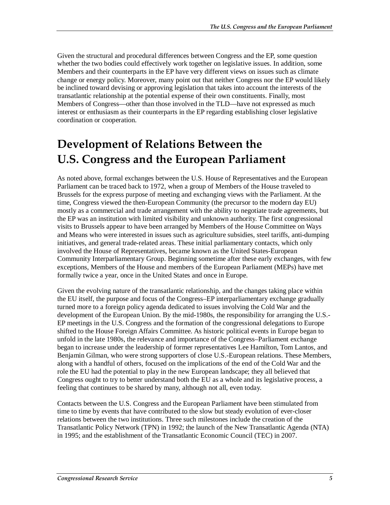Given the structural and procedural differences between Congress and the EP, some question whether the two bodies could effectively work together on legislative issues. In addition, some Members and their counterparts in the EP have very different views on issues such as climate change or energy policy. Moreover, many point out that neither Congress nor the EP would likely be inclined toward devising or approving legislation that takes into account the interests of the transatlantic relationship at the potential expense of their own constituents. Finally, most Members of Congress—other than those involved in the TLD—have not expressed as much interest or enthusiasm as their counterparts in the EP regarding establishing closer legislative coordination or cooperation.

# **Development of Relations Between the U.S. Congress and the European Parliament**

As noted above, formal exchanges between the U.S. House of Representatives and the European Parliament can be traced back to 1972, when a group of Members of the House traveled to Brussels for the express purpose of meeting and exchanging views with the Parliament. At the time, Congress viewed the then-European Community (the precursor to the modern day EU) mostly as a commercial and trade arrangement with the ability to negotiate trade agreements, but the EP was an institution with limited visibility and unknown authority. The first congressional visits to Brussels appear to have been arranged by Members of the House Committee on Ways and Means who were interested in issues such as agriculture subsidies, steel tariffs, anti-dumping initiatives, and general trade-related areas. These initial parliamentary contacts, which only involved the House of Representatives, became known as the United States-European Community Interparliamentary Group. Beginning sometime after these early exchanges, with few exceptions, Members of the House and members of the European Parliament (MEPs) have met formally twice a year, once in the United States and once in Europe.

Given the evolving nature of the transatlantic relationship, and the changes taking place within the EU itself, the purpose and focus of the Congress–EP interparliamentary exchange gradually turned more to a foreign policy agenda dedicated to issues involving the Cold War and the development of the European Union. By the mid-1980s, the responsibility for arranging the U.S.- EP meetings in the U.S. Congress and the formation of the congressional delegations to Europe shifted to the House Foreign Affairs Committee. As historic political events in Europe began to unfold in the late 1980s, the relevance and importance of the Congress–Parliament exchange began to increase under the leadership of former representatives Lee Hamilton, Tom Lantos, and Benjamin Gilman, who were strong supporters of close U.S.-European relations. These Members, along with a handful of others, focused on the implications of the end of the Cold War and the role the EU had the potential to play in the new European landscape; they all believed that Congress ought to try to better understand both the EU as a whole and its legislative process, a feeling that continues to be shared by many, although not all, even today.

Contacts between the U.S. Congress and the European Parliament have been stimulated from time to time by events that have contributed to the slow but steady evolution of ever-closer relations between the two institutions. Three such milestones include the creation of the Transatlantic Policy Network (TPN) in 1992; the launch of the New Transatlantic Agenda (NTA) in 1995; and the establishment of the Transatlantic Economic Council (TEC) in 2007.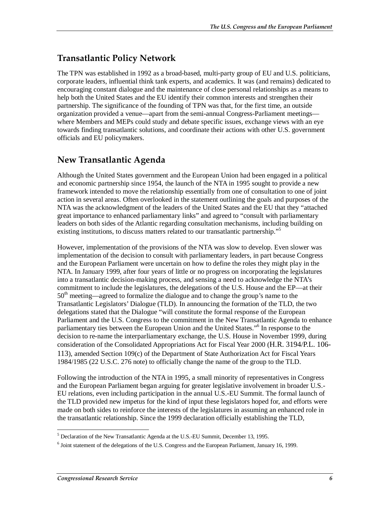### **Transatlantic Policy Network**

The TPN was established in 1992 as a broad-based, multi-party group of EU and U.S. politicians, corporate leaders, influential think tank experts, and academics. It was (and remains) dedicated to encouraging constant dialogue and the maintenance of close personal relationships as a means to help both the United States and the EU identify their common interests and strengthen their partnership. The significance of the founding of TPN was that, for the first time, an outside organization provided a venue—apart from the semi-annual Congress-Parliament meetings where Members and MEPs could study and debate specific issues, exchange views with an eye towards finding transatlantic solutions, and coordinate their actions with other U.S. government officials and EU policymakers.

#### **New Transatlantic Agenda**

Although the United States government and the European Union had been engaged in a political and economic partnership since 1954, the launch of the NTA in 1995 sought to provide a new framework intended to move the relationship essentially from one of consultation to one of joint action in several areas. Often overlooked in the statement outlining the goals and purposes of the NTA was the acknowledgment of the leaders of the United States and the EU that they "attached great importance to enhanced parliamentary links" and agreed to "consult with parliamentary leaders on both sides of the Atlantic regarding consultation mechanisms, including building on existing institutions, to discuss matters related to our transatlantic partnership."<sup>5</sup>

However, implementation of the provisions of the NTA was slow to develop. Even slower was implementation of the decision to consult with parliamentary leaders, in part because Congress and the European Parliament were uncertain on how to define the roles they might play in the NTA. In January 1999, after four years of little or no progress on incorporating the legislatures into a transatlantic decision-making process, and sensing a need to acknowledge the NTA's commitment to include the legislatures, the delegations of the U.S. House and the EP—at their  $50<sup>th</sup>$  meeting—agreed to formalize the dialogue and to change the group's name to the Transatlantic Legislators' Dialogue (TLD). In announcing the formation of the TLD, the two delegations stated that the Dialogue "will constitute the formal response of the European Parliament and the U.S. Congress to the commitment in the New Transatlantic Agenda to enhance parliamentary ties between the European Union and the United States."<sup>6</sup> In response to the decision to re-name the interparliamentary exchange, the U.S. House in November 1999, during consideration of the Consolidated Appropriations Act for Fiscal Year 2000 (H.R. 3194/P.L. 106- 113), amended Section 109(c) of the Department of State Authorization Act for Fiscal Years 1984/1985 (22 U.S.C. 276 note) to officially change the name of the group to the TLD.

Following the introduction of the NTA in 1995, a small minority of representatives in Congress and the European Parliament began arguing for greater legislative involvement in broader U.S.- EU relations, even including participation in the annual U.S.-EU Summit. The formal launch of the TLD provided new impetus for the kind of input these legislators hoped for, and efforts were made on both sides to reinforce the interests of the legislatures in assuming an enhanced role in the transatlantic relationship. Since the 1999 declaration officially establishing the TLD,

 $\overline{a}$ <sup>5</sup> Declaration of the New Transatlantic Agenda at the U.S.-EU Summit, December 13, 1995.

<sup>&</sup>lt;sup>6</sup> Joint statement of the delegations of the U.S. Congress and the European Parliament, January 16, 1999.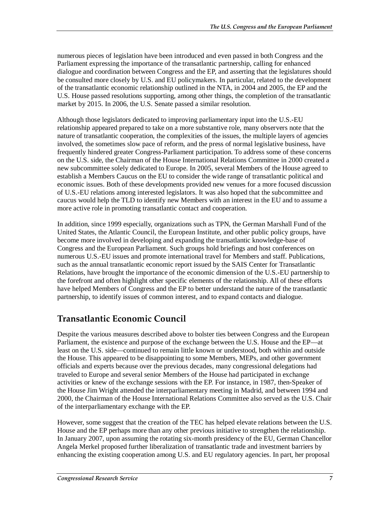numerous pieces of legislation have been introduced and even passed in both Congress and the Parliament expressing the importance of the transatlantic partnership, calling for enhanced dialogue and coordination between Congress and the EP, and asserting that the legislatures should be consulted more closely by U.S. and EU policymakers. In particular, related to the development of the transatlantic economic relationship outlined in the NTA, in 2004 and 2005, the EP and the U.S. House passed resolutions supporting, among other things, the completion of the transatlantic market by 2015. In 2006, the U.S. Senate passed a similar resolution.

Although those legislators dedicated to improving parliamentary input into the U.S.-EU relationship appeared prepared to take on a more substantive role, many observers note that the nature of transatlantic cooperation, the complexities of the issues, the multiple layers of agencies involved, the sometimes slow pace of reform, and the press of normal legislative business, have frequently hindered greater Congress-Parliament participation. To address some of these concerns on the U.S. side, the Chairman of the House International Relations Committee in 2000 created a new subcommittee solely dedicated to Europe. In 2005, several Members of the House agreed to establish a Members Caucus on the EU to consider the wide range of transatlantic political and economic issues. Both of these developments provided new venues for a more focused discussion of U.S.-EU relations among interested legislators. It was also hoped that the subcommittee and caucus would help the TLD to identify new Members with an interest in the EU and to assume a more active role in promoting transatlantic contact and cooperation.

In addition, since 1999 especially, organizations such as TPN, the German Marshall Fund of the United States, the Atlantic Council, the European Institute, and other public policy groups, have become more involved in developing and expanding the transatlantic knowledge-base of Congress and the European Parliament. Such groups hold briefings and host conferences on numerous U.S.-EU issues and promote international travel for Members and staff. Publications, such as the annual transatlantic economic report issued by the SAIS Center for Transatlantic Relations, have brought the importance of the economic dimension of the U.S.-EU partnership to the forefront and often highlight other specific elements of the relationship. All of these efforts have helped Members of Congress and the EP to better understand the nature of the transatlantic partnership, to identify issues of common interest, and to expand contacts and dialogue.

### **Transatlantic Economic Council**

Despite the various measures described above to bolster ties between Congress and the European Parliament, the existence and purpose of the exchange between the U.S. House and the EP—at least on the U.S. side—continued to remain little known or understood, both within and outside the House. This appeared to be disappointing to some Members, MEPs, and other government officials and experts because over the previous decades, many congressional delegations had traveled to Europe and several senior Members of the House had participated in exchange activities or knew of the exchange sessions with the EP. For instance, in 1987, then-Speaker of the House Jim Wright attended the interparliamentary meeting in Madrid, and between 1994 and 2000, the Chairman of the House International Relations Committee also served as the U.S. Chair of the interparliamentary exchange with the EP.

However, some suggest that the creation of the TEC has helped elevate relations between the U.S. House and the EP perhaps more than any other previous initiative to strengthen the relationship. In January 2007, upon assuming the rotating six-month presidency of the EU, German Chancellor Angela Merkel proposed further liberalization of transatlantic trade and investment barriers by enhancing the existing cooperation among U.S. and EU regulatory agencies. In part, her proposal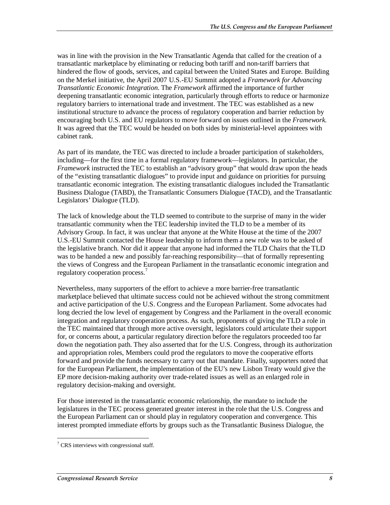was in line with the provision in the New Transatlantic Agenda that called for the creation of a transatlantic marketplace by eliminating or reducing both tariff and non-tariff barriers that hindered the flow of goods, services, and capital between the United States and Europe. Building on the Merkel initiative, the April 2007 U.S.-EU Summit adopted a *Framework for Advancing Transatlantic Economic Integration*. The *Framework* affirmed the importance of further deepening transatlantic economic integration, particularly through efforts to reduce or harmonize regulatory barriers to international trade and investment. The TEC was established as a new institutional structure to advance the process of regulatory cooperation and barrier reduction by encouraging both U.S. and EU regulators to move forward on issues outlined in the *Framework.* It was agreed that the TEC would be headed on both sides by ministerial-level appointees with cabinet rank.

As part of its mandate, the TEC was directed to include a broader participation of stakeholders, including—for the first time in a formal regulatory framework—legislators. In particular, the *Framework* instructed the TEC to establish an "advisory group" that would draw upon the heads of the "existing transatlantic dialogues" to provide input and guidance on priorities for pursuing transatlantic economic integration. The existing transatlantic dialogues included the Transatlantic Business Dialogue (TABD), the Transatlantic Consumers Dialogue (TACD), and the Transatlantic Legislators' Dialogue (TLD).

The lack of knowledge about the TLD seemed to contribute to the surprise of many in the wider transatlantic community when the TEC leadership invited the TLD to be a member of its Advisory Group. In fact, it was unclear that anyone at the White House at the time of the 2007 U.S.-EU Summit contacted the House leadership to inform them a new role was to be asked of the legislative branch. Nor did it appear that anyone had informed the TLD Chairs that the TLD was to be handed a new and possibly far-reaching responsibility—that of formally representing the views of Congress and the European Parliament in the transatlantic economic integration and regulatory cooperation process.<sup>7</sup>

Nevertheless, many supporters of the effort to achieve a more barrier-free transatlantic marketplace believed that ultimate success could not be achieved without the strong commitment and active participation of the U.S. Congress and the European Parliament. Some advocates had long decried the low level of engagement by Congress and the Parliament in the overall economic integration and regulatory cooperation process. As such, proponents of giving the TLD a role in the TEC maintained that through more active oversight, legislators could articulate their support for, or concerns about, a particular regulatory direction before the regulators proceeded too far down the negotiation path. They also asserted that for the U.S. Congress, through its authorization and appropriation roles, Members could prod the regulators to move the cooperative efforts forward and provide the funds necessary to carry out that mandate. Finally, supporters noted that for the European Parliament, the implementation of the EU's new Lisbon Treaty would give the EP more decision-making authority over trade-related issues as well as an enlarged role in regulatory decision-making and oversight.

For those interested in the transatlantic economic relationship, the mandate to include the legislatures in the TEC process generated greater interest in the role that the U.S. Congress and the European Parliament can or should play in regulatory cooperation and convergence. This interest prompted immediate efforts by groups such as the Transatlantic Business Dialogue, the

<sup>-</sup><sup>7</sup> CRS interviews with congressional staff.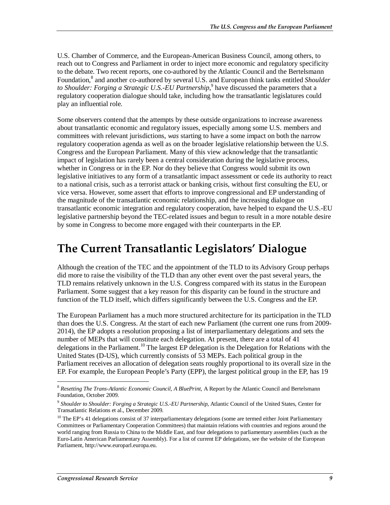U.S. Chamber of Commerce, and the European-American Business Council, among others, to reach out to Congress and Parliament in order to inject more economic and regulatory specificity to the debate. Two recent reports, one co-authored by the Atlantic Council and the Bertelsmann Foundation,<sup>8</sup> and another co-authored by several U.S. and European think tanks entitled *Shoulder* to Shoulder: Forging a Strategic U.S.-EU Partnership,<sup>9</sup> have discussed the parameters that a regulatory cooperation dialogue should take, including how the transatlantic legislatures could play an influential role.

Some observers contend that the attempts by these outside organizations to increase awareness about transatlantic economic and regulatory issues, especially among some U.S. members and committees with relevant jurisdictions, *was* starting to have a some impact on both the narrow regulatory cooperation agenda as well as on the broader legislative relationship between the U.S. Congress and the European Parliament. Many of this view acknowledge that the transatlantic impact of legislation has rarely been a central consideration during the legislative process, whether in Congress or in the EP. Nor do they believe that Congress would submit its own legislative initiatives to any form of a transatlantic impact assessment or cede its authority to react to a national crisis, such as a terrorist attack or banking crisis, without first consulting the EU, or vice versa. However, some assert that efforts to improve congressional and EP understanding of the magnitude of the transatlantic economic relationship, and the increasing dialogue on transatlantic economic integration and regulatory cooperation, have helped to expand the U.S.-EU legislative partnership beyond the TEC-related issues and begun to result in a more notable desire by some in Congress to become more engaged with their counterparts in the EP.

# **The Current Transatlantic Legislators' Dialogue**

Although the creation of the TEC and the appointment of the TLD to its Advisory Group perhaps did more to raise the visibility of the TLD than any other event over the past several years, the TLD remains relatively unknown in the U.S. Congress compared with its status in the European Parliament. Some suggest that a key reason for this disparity can be found in the structure and function of the TLD itself, which differs significantly between the U.S. Congress and the EP.

The European Parliament has a much more structured architecture for its participation in the TLD than does the U.S. Congress. At the start of each new Parliament (the current one runs from 2009- 2014), the EP adopts a resolution proposing a list of interparliamentary delegations and sets the number of MEPs that will constitute each delegation. At present, there are a total of 41 delegations in the Parliament.<sup>10</sup> The largest EP delegation is the Delegation for Relations with the United States (D-US), which currently consists of 53 MEPs. Each political group in the Parliament receives an allocation of delegation seats roughly proportional to its overall size in the EP. For example, the European People's Party (EPP), the largest political group in the EP, has 19

-

<sup>&</sup>lt;sup>8</sup> Resetting The Trans-Atlantic Economic Council, A BluePrint, A Report by the Atlantic Council and Bertelsmann Foundation, October 2009.

<sup>9</sup> *Shoulder to Shoulder: Forging a Strategic U.S.-EU Partnership*, Atlantic Council of the United States, Center for Transatlantic Relations et al., December 2009.

 $10$  The EP's 41 delegations consist of 37 interparliamentary delegations (some are termed either Joint Parliamentary Committees or Parliamentary Cooperation Committees) that maintain relations with countries and regions around the world ranging from Russia to China to the Middle East, and four delegations to parliamentary assemblies (such as the Euro-Latin American Parliamentary Assembly). For a list of current EP delegations, see the website of the European Parliament, http://www.europarl.europa.eu.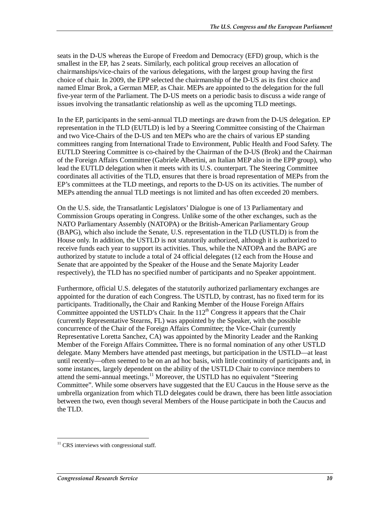seats in the D-US whereas the Europe of Freedom and Democracy (EFD) group, which is the smallest in the EP, has 2 seats. Similarly, each political group receives an allocation of chairmanships/vice-chairs of the various delegations, with the largest group having the first choice of chair. In 2009, the EPP selected the chairmanship of the D-US as its first choice and named Elmar Brok, a German MEP, as Chair. MEPs are appointed to the delegation for the full five-year term of the Parliament. The D-US meets on a periodic basis to discuss a wide range of issues involving the transatlantic relationship as well as the upcoming TLD meetings.

In the EP, participants in the semi-annual TLD meetings are drawn from the D-US delegation. EP representation in the TLD (EUTLD) is led by a Steering Committee consisting of the Chairman and two Vice-Chairs of the D-US and ten MEPs who are the chairs of various EP standing committees ranging from International Trade to Environment, Public Health and Food Safety. The EUTLD Steering Committee is co-chaired by the Chairman of the D-US (Brok) and the Chairman of the Foreign Affairs Committee (Gabriele Albertini, an Italian MEP also in the EPP group), who lead the EUTLD delegation when it meets with its U.S. counterpart. The Steering Committee coordinates all activities of the TLD, ensures that there is broad representation of MEPs from the EP's committees at the TLD meetings, and reports to the D-US on its activities. The number of MEPs attending the annual TLD meetings is not limited and has often exceeded 20 members.

On the U.S. side, the Transatlantic Legislators' Dialogue is one of 13 Parliamentary and Commission Groups operating in Congress. Unlike some of the other exchanges, such as the NATO Parliamentary Assembly (NATOPA) or the British-American Parliamentary Group (BAPG), which also include the Senate, U.S. representation in the TLD (USTLD) is from the House only. In addition, the USTLD is not statutorily authorized, although it is authorized to receive funds each year to support its activities. Thus, while the NATOPA and the BAPG are authorized by statute to include a total of 24 official delegates (12 each from the House and Senate that are appointed by the Speaker of the House and the Senate Majority Leader respectively), the TLD has no specified number of participants and no Speaker appointment.

Furthermore, official U.S. delegates of the statutorily authorized parliamentary exchanges are appointed for the duration of each Congress. The USTLD, by contrast, has no fixed term for its participants. Traditionally**,** the Chair and Ranking Member of the House Foreign Affairs Committee appointed the USTLD's Chair. In the  $112<sup>th</sup>$  Congress it appears that the Chair (currently Representative Stearns, FL) was appointed by the Speaker, with the possible concurrence of the Chair of the Foreign Affairs Committee; the Vice-Chair (currently Representative Loretta Sanchez, CA) was appointed by the Minority Leader and the Ranking Member of the Foreign Affairs Committee**.** There is no formal nomination of any other USTLD delegate. Many Members have attended past meetings, but participation in the USTLD—at least until recently—often seemed to be on an ad hoc basis, with little continuity of participants and, in some instances, largely dependent on the ability of the USTLD Chair to convince members to attend the semi-annual meetings.<sup>11</sup> Moreover, the USTLD has no equivalent "Steering Committee". While some observers have suggested that the EU Caucus in the House serve as the umbrella organization from which TLD delegates could be drawn, there has been little association between the two, even though several Members of the House participate in both the Caucus and the TLD.

<sup>-</sup> $11$  CRS interviews with congressional staff.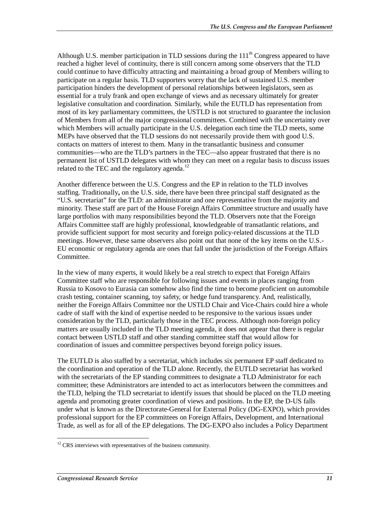Although U.S. member participation in TLD sessions during the  $111<sup>th</sup>$  Congress appeared to have reached a higher level of continuity, there is still concern among some observers that the TLD could continue to have difficulty attracting and maintaining a broad group of Members willing to participate on a regular basis. TLD supporters worry that the lack of sustained U.S. member participation hinders the development of personal relationships between legislators, seen as essential for a truly frank and open exchange of views and as necessary ultimately for greater legislative consultation and coordination. Similarly, while the EUTLD has representation from most of its key parliamentary committees, the USTLD is not structured to guarantee the inclusion of Members from all of the major congressional committees. Combined with the uncertainty over which Members will actually participate in the U.S. delegation each time the TLD meets, some MEPs have observed that the TLD sessions do not necessarily provide them with good U.S. contacts on matters of interest to them. Many in the transatlantic business and consumer communities—who are the TLD's partners in the TEC—also appear frustrated that there is no permanent list of USTLD delegates with whom they can meet on a regular basis to discuss issues related to the TEC and the regulatory agenda.<sup>12</sup>

Another difference between the U.S. Congress and the EP in relation to the TLD involves staffing. Traditionally**,** on the U.S. side, there have been three principal staff designated as the "U.S. secretariat" for the TLD: an administrator and one representative from the majority and minority. These staff are part of the House Foreign Affairs Committee structure and usually have large portfolios with many responsibilities beyond the TLD. Observers note that the Foreign Affairs Committee staff are highly professional, knowledgeable of transatlantic relations, and provide sufficient support for most security and foreign policy-related discussions at the TLD meetings. However, these same observers also point out that none of the key items on the U.S.- EU economic or regulatory agenda are ones that fall under the jurisdiction of the Foreign Affairs Committee.

In the view of many experts, it would likely be a real stretch to expect that Foreign Affairs Committee staff who are responsible for following issues and events in places ranging from Russia to Kosovo to Eurasia can somehow also find the time to become proficient on automobile crash testing, container scanning, toy safety, or hedge fund transparency. And, realistically, neither the Foreign Affairs Committee nor the USTLD Chair and Vice-Chairs could hire a whole cadre of staff with the kind of expertise needed to be responsive to the various issues under consideration by the TLD, particularly those in the TEC process. Although non-foreign policy matters are usually included in the TLD meeting agenda, it does not appear that there is regular contact between USTLD staff and other standing committee staff that would allow for coordination of issues and committee perspectives beyond foreign policy issues.

The EUTLD is also staffed by a secretariat, which includes six permanent EP staff dedicated to the coordination and operation of the TLD alone. Recently, the EUTLD secretariat has worked with the secretariats of the EP standing committees to designate a TLD Administrator for each committee; these Administrators are intended to act as interlocutors between the committees and the TLD, helping the TLD secretariat to identify issues that should be placed on the TLD meeting agenda and promoting greater coordination of views and positions. In the EP, the D-US falls under what is known as the Directorate-General for External Policy (DG-EXPO), which provides professional support for the EP committees on Foreign Affairs, Development, and International Trade, as well as for all of the EP delegations. The DG-EXPO also includes a Policy Department

<sup>-</sup> $12$  CRS interviews with representatives of the business community.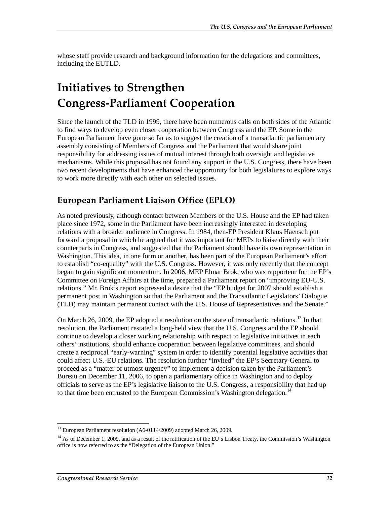whose staff provide research and background information for the delegations and committees, including the EUTLD.

# **Initiatives to Strengthen Congress-Parliament Cooperation**

Since the launch of the TLD in 1999, there have been numerous calls on both sides of the Atlantic to find ways to develop even closer cooperation between Congress and the EP. Some in the European Parliament have gone so far as to suggest the creation of a transatlantic parliamentary assembly consisting of Members of Congress and the Parliament that would share joint responsibility for addressing issues of mutual interest through both oversight and legislative mechanisms. While this proposal has not found any support in the U.S. Congress, there have been two recent developments that have enhanced the opportunity for both legislatures to explore ways to work more directly with each other on selected issues.

#### **European Parliament Liaison Office (EPLO)**

As noted previously, although contact between Members of the U.S. House and the EP had taken place since 1972, some in the Parliament have been increasingly interested in developing relations with a broader audience in Congress. In 1984, then-EP President Klaus Haensch put forward a proposal in which he argued that it was important for MEPs to liaise directly with their counterparts in Congress, and suggested that the Parliament should have its own representation in Washington. This idea, in one form or another, has been part of the European Parliament's effort to establish "co-equality" with the U.S. Congress. However, it was only recently that the concept began to gain significant momentum. In 2006, MEP Elmar Brok, who was rapporteur for the EP's Committee on Foreign Affairs at the time, prepared a Parliament report on "improving EU-U.S. relations." Mr. Brok's report expressed a desire that the "EP budget for 2007 should establish a permanent post in Washington so that the Parliament and the Transatlantic Legislators' Dialogue (TLD) may maintain permanent contact with the U.S. House of Representatives and the Senate."

On March 26, 2009, the EP adopted a resolution on the state of transatlantic relations.<sup>13</sup> In that resolution, the Parliament restated a long-held view that the U.S. Congress and the EP should continue to develop a closer working relationship with respect to legislative initiatives in each others' institutions, should enhance cooperation between legislative committees, and should create a reciprocal "early-warning" system in order to identify potential legislative activities that could affect U.S.-EU relations. The resolution further "invited" the EP's Secretary-General to proceed as a "matter of utmost urgency" to implement a decision taken by the Parliament's Bureau on December 11, 2006, to open a parliamentary office in Washington and to deploy officials to serve as the EP's legislative liaison to the U.S. Congress, a responsibility that had up to that time been entrusted to the European Commission's Washington delegation.<sup>14</sup>

<sup>-</sup><sup>13</sup> European Parliament resolution (A6-0114/2009) adopted March 26, 2009.

<sup>&</sup>lt;sup>14</sup> As of December 1, 2009, and as a result of the ratification of the EU's Lisbon Treaty, the Commission's Washington office is now referred to as the "Delegation of the European Union."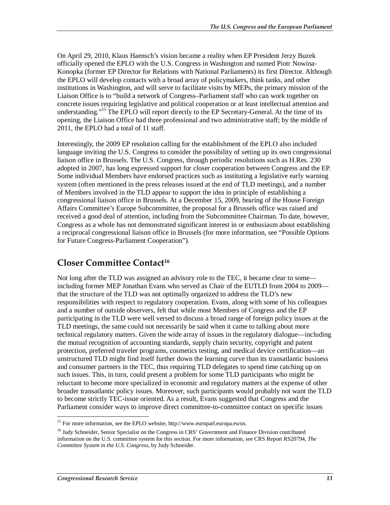On April 29, 2010, Klaus Haensch's vision became a reality when EP President Jerzy Buzek officially opened the EPLO with the U.S. Congress in Washington and named Piotr Nowina-Konopka (former EP Director for Relations with National Parliaments) its first Director. Although the EPLO will develop contacts with a broad array of policymakers, think tanks, and other institutions in Washington, and will serve to facilitate visits by MEPs, the primary mission of the Liaison Office is to "build a network of Congress–Parliament staff who can work together on concrete issues requiring legislative and political cooperation or at least intellectual attention and understanding."<sup>15</sup> The EPLO will report directly to the EP Secretary-General. At the time of its opening, the Liaison Office had three professional and two administrative staff; by the middle of 2011, the EPLO had a total of 11 staff.

Interestingly, the 2009 EP resolution calling for the establishment of the EPLO also included language inviting the U.S. Congress to consider the possibility of setting up its own congressional liaison office in Brussels. The U.S. Congress, through periodic resolutions such as H.Res. 230 adopted in 2007, has long expressed support for closer cooperation between Congress and the EP. Some individual Members have endorsed practices such as instituting a legislative early warning system (often mentioned in the press releases issued at the end of TLD meetings), and a number of Members involved in the TLD appear to support the idea in principle of establishing a congressional liaison office in Brussels. At a December 15, 2009, hearing of the House Foreign Affairs Committee's Europe Subcommittee, the proposal for a Brussels office was raised and received a good deal of attention, including from the Subcommittee Chairman. To date, however, Congress as a whole has not demonstrated significant interest in or enthusiasm about establishing a reciprocal congressional liaison office in Brussels (for more information, see "Possible Options for Future Congress-Parliament Cooperation").

#### **Closer Committee Contact16**

Not long after the TLD was assigned an advisory role to the TEC, it became clear to some including former MEP Jonathan Evans who served as Chair of the EUTLD from 2004 to 2009 that the structure of the TLD was not optimally organized to address the TLD's new responsibilities with respect to regulatory cooperation. Evans, along with some of his colleagues and a number of outside observers, felt that while most Members of Congress and the EP participating in the TLD were well versed to discuss a broad range of foreign policy issues at the TLD meetings, the same could not necessarily be said when it came to talking about more technical regulatory matters. Given the wide array of issues in the regulatory dialogue—including the mutual recognition of accounting standards, supply chain security, copyright and patent protection, preferred traveler programs, cosmetics testing, and medical device certification—an unstructured TLD might find itself further down the learning curve than its transatlantic business and consumer partners in the TEC, thus requiring TLD delegates to spend time catching up on such issues. This, in turn, could present a problem for some TLD participants who might be reluctant to become more specialized in economic and regulatory matters at the expense of other broader transatlantic policy issues. Moreover, such participants would probably not want the TLD to become strictly TEC-issue oriented. As a result, Evans suggested that Congress and the Parliament consider ways to improve direct committee-to-committee contact on specific issues

<sup>-</sup><sup>15</sup> For more information, see the EPLO website, http://www.europarl.europa.eu/us.

<sup>&</sup>lt;sup>16</sup> Judy Schneider, Senior Specialist on the Congress in CRS' Government and Finance Division contributed information on the U.S. committee system for this section. For more information, see CRS Report RS20794, *The Committee System in the U.S. Congress*, by Judy Schneider.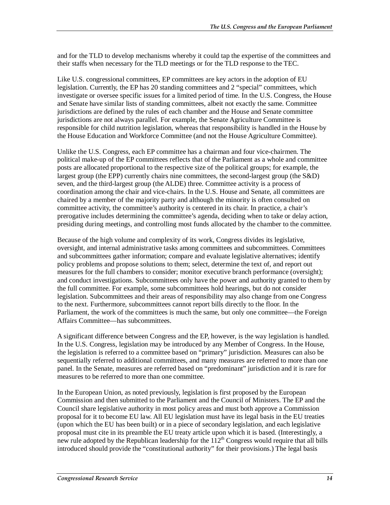and for the TLD to develop mechanisms whereby it could tap the expertise of the committees and their staffs when necessary for the TLD meetings or for the TLD response to the TEC.

Like U.S. congressional committees, EP committees are key actors in the adoption of EU legislation. Currently, the EP has 20 standing committees and 2 "special" committees, which investigate or oversee specific issues for a limited period of time. In the U.S. Congress, the House and Senate have similar lists of standing committees, albeit not exactly the same. Committee jurisdictions are defined by the rules of each chamber and the House and Senate committee jurisdictions are not always parallel. For example, the Senate Agriculture Committee is responsible for child nutrition legislation, whereas that responsibility is handled in the House by the House Education and Workforce Committee (and not the House Agriculture Committee).

Unlike the U.S. Congress, each EP committee has a chairman and four vice-chairmen. The political make-up of the EP committees reflects that of the Parliament as a whole and committee posts are allocated proportional to the respective size of the political groups; for example, the largest group (the EPP) currently chairs nine committees, the second-largest group (the S&D) seven, and the third-largest group (the ALDE) three. Committee activity is a process of coordination among the chair and vice-chairs. In the U.S. House and Senate, all committees are chaired by a member of the majority party and although the minority is often consulted on committee activity, the committee's authority is centered in its chair. In practice, a chair's prerogative includes determining the committee's agenda, deciding when to take or delay action, presiding during meetings, and controlling most funds allocated by the chamber to the committee.

Because of the high volume and complexity of its work, Congress divides its legislative, oversight, and internal administrative tasks among committees and subcommittees. Committees and subcommittees gather information; compare and evaluate legislative alternatives; identify policy problems and propose solutions to them; select, determine the text of, and report out measures for the full chambers to consider; monitor executive branch performance (oversight); and conduct investigations. Subcommittees only have the power and authority granted to them by the full committee. For example, some subcommittees hold hearings, but do not consider legislation. Subcommittees and their areas of responsibility may also change from one Congress to the next. Furthermore, subcommittees cannot report bills directly to the floor. In the Parliament, the work of the committees is much the same, but only one committee—the Foreign Affairs Committee—has subcommittees.

A significant difference between Congress and the EP, however, is the way legislation is handled. In the U.S. Congress, legislation may be introduced by any Member of Congress. In the House, the legislation is referred to a committee based on "primary" jurisdiction. Measures can also be sequentially referred to additional committees, and many measures are referred to more than one panel. In the Senate, measures are referred based on "predominant" jurisdiction and it is rare for measures to be referred to more than one committee.

In the European Union, as noted previously, legislation is first proposed by the European Commission and then submitted to the Parliament and the Council of Ministers. The EP and the Council share legislative authority in most policy areas and must both approve a Commission proposal for it to become EU law. All EU legislation must have its legal basis in the EU treaties (upon which the EU has been built) or in a piece of secondary legislation, and each legislative proposal must cite in its preamble the EU treaty article upon which it is based. (Interestingly, a new rule adopted by the Republican leadership for the  $112^{th}$  Congress would require that all bills introduced should provide the "constitutional authority" for their provisions.) The legal basis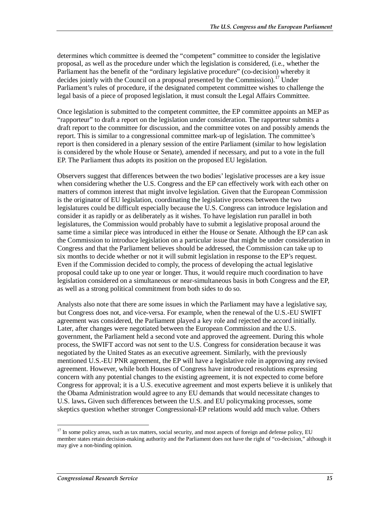determines which committee is deemed the "competent" committee to consider the legislative proposal, as well as the procedure under which the legislation is considered, (i.e., whether the Parliament has the benefit of the "ordinary legislative procedure" (co-decision) whereby it decides jointly with the Council on a proposal presented by the Commission).<sup>17</sup> Under Parliament's rules of procedure, if the designated competent committee wishes to challenge the legal basis of a piece of proposed legislation, it must consult the Legal Affairs Committee.

Once legislation is submitted to the competent committee, the EP committee appoints an MEP as "rapporteur" to draft a report on the legislation under consideration. The rapporteur submits a draft report to the committee for discussion, and the committee votes on and possibly amends the report. This is similar to a congressional committee mark-up of legislation. The committee's report is then considered in a plenary session of the entire Parliament (similar to how legislation is considered by the whole House or Senate), amended if necessary, and put to a vote in the full EP. The Parliament thus adopts its position on the proposed EU legislation.

Observers suggest that differences between the two bodies' legislative processes are a key issue when considering whether the U.S. Congress and the EP can effectively work with each other on matters of common interest that might involve legislation. Given that the European Commission is the originator of EU legislation, coordinating the legislative process between the two legislatures could be difficult especially because the U.S. Congress can introduce legislation and consider it as rapidly or as deliberately as it wishes. To have legislation run parallel in both legislatures, the Commission would probably have to submit a legislative proposal around the same time a similar piece was introduced in either the House or Senate. Although the EP can ask the Commission to introduce legislation on a particular issue that might be under consideration in Congress and that the Parliament believes should be addressed, the Commission can take up to six months to decide whether or not it will submit legislation in response to the EP's request. Even if the Commission decided to comply, the process of developing the actual legislative proposal could take up to one year or longer. Thus, it would require much coordination to have legislation considered on a simultaneous or near-simultaneous basis in both Congress and the EP, as well as a strong political commitment from both sides to do so.

Analysts also note that there are some issues in which the Parliament may have a legislative say, but Congress does not, and vice-versa. For example, when the renewal of the U.S.-EU SWIFT agreement was considered, the Parliament played a key role and rejected the accord initially. Later, after changes were negotiated between the European Commission and the U.S. government, the Parliament held a second vote and approved the agreement. During this whole process, the SWIFT accord was not sent to the U.S. Congress for consideration because it was negotiated by the United States as an executive agreement. Similarly, with the previously mentioned U.S.-EU PNR agreement, the EP will have a legislative role in approving any revised agreement. However, while both Houses of Congress have introduced resolutions expressing concern with any potential changes to the existing agreement, it is not expected to come before Congress for approval; it is a U.S. executive agreement and most experts believe it is unlikely that the Obama Administration would agree to any EU demands that would necessitate changes to U.S. laws**.** Given such differences between the U.S. and EU policymaking processes, some skeptics question whether stronger Congressional-EP relations would add much value. Others

-

<sup>&</sup>lt;sup>17</sup> In some policy areas, such as tax matters, social security, and most aspects of foreign and defense policy, EU member states retain decision-making authority and the Parliament does not have the right of "co-decision," although it may give a non-binding opinion.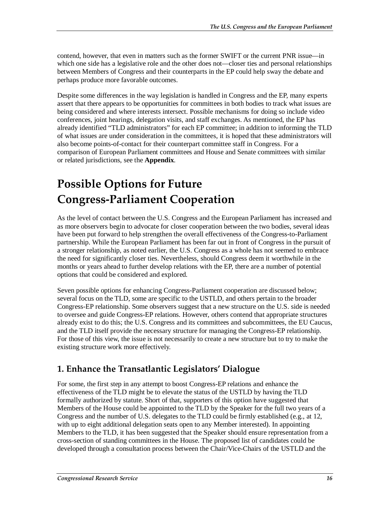contend, however, that even in matters such as the former SWIFT or the current PNR issue—in which one side has a legislative role and the other does not—closer ties and personal relationships between Members of Congress and their counterparts in the EP could help sway the debate and perhaps produce more favorable outcomes.

Despite some differences in the way legislation is handled in Congress and the EP, many experts assert that there appears to be opportunities for committees in both bodies to track what issues are being considered and where interests intersect. Possible mechanisms for doing so include video conferences, joint hearings, delegation visits, and staff exchanges. As mentioned, the EP has already identified "TLD administrators" for each EP committee; in addition to informing the TLD of what issues are under consideration in the committees, it is hoped that these administrators will also become points-of-contact for their counterpart committee staff in Congress. For a comparison of European Parliament committees and House and Senate committees with similar or related jurisdictions, see the **Appendix**.

# **Possible Options for Future Congress-Parliament Cooperation**

As the level of contact between the U.S. Congress and the European Parliament has increased and as more observers begin to advocate for closer cooperation between the two bodies, several ideas have been put forward to help strengthen the overall effectiveness of the Congress-to-Parliament partnership. While the European Parliament has been far out in front of Congress in the pursuit of a stronger relationship, as noted earlier, the U.S. Congress as a whole has not seemed to embrace the need for significantly closer ties. Nevertheless, should Congress deem it worthwhile in the months or years ahead to further develop relations with the EP, there are a number of potential options that could be considered and explored.

Seven possible options for enhancing Congress-Parliament cooperation are discussed below; several focus on the TLD, some are specific to the USTLD, and others pertain to the broader Congress-EP relationship. Some observers suggest that a new structure on the U.S. side is needed to oversee and guide Congress-EP relations. However, others contend that appropriate structures already exist to do this; the U.S. Congress and its committees and subcommittees, the EU Caucus, and the TLD itself provide the necessary structure for managing the Congress-EP relationship. For those of this view, the issue is not necessarily to create a new structure but to try to make the existing structure work more effectively.

### **1. Enhance the Transatlantic Legislators' Dialogue**

For some, the first step in any attempt to boost Congress-EP relations and enhance the effectiveness of the TLD might be to elevate the status of the USTLD by having the TLD formally authorized by statute. Short of that, supporters of this option have suggested that Members of the House could be appointed to the TLD by the Speaker for the full two years of a Congress and the number of U.S. delegates to the TLD could be firmly established (e.g., at 12, with up to eight additional delegation seats open to any Member interested). In appointing Members to the TLD, it has been suggested that the Speaker should ensure representation from a cross-section of standing committees in the House. The proposed list of candidates could be developed through a consultation process between the Chair/Vice-Chairs of the USTLD and the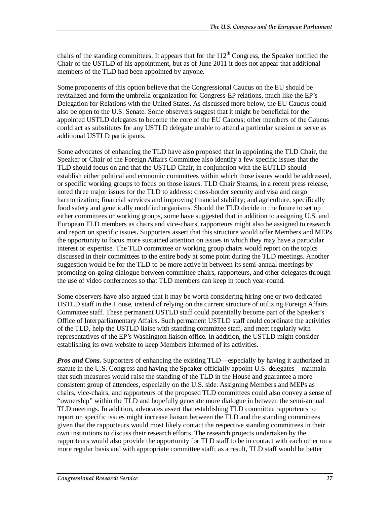chairs of the standing committees. It appears that for the  $112<sup>th</sup>$  Congress, the Speaker notified the Chair of the USTLD of his appointment, but as of June 2011 it does not appear that additional members of the TLD had been appointed by anyone.

Some proponents of this option believe that the Congressional Caucus on the EU should be revitalized and form the umbrella organization for Congress-EP relations, much like the EP's Delegation for Relations with the United States. As discussed more below, the EU Caucus could also be open to the U.S. Senate. Some observers suggest that it might be beneficial for the appointed USTLD delegates to become the core of the EU Caucus; other members of the Caucus could act as substitutes for any USTLD delegate unable to attend a particular session or serve as additional USTLD participants.

Some advocates of enhancing the TLD have also proposed that in appointing the TLD Chair, the Speaker or Chair of the Foreign Affairs Committee also identify a few specific issues that the TLD should focus on and that the USTLD Chair, in conjunction with the EUTLD should establish either political and economic committees within which those issues would be addressed, or specific working groups to focus on those issues. TLD Chair Stearns, in a recent press release, noted three major issues for the TLD to address: cross-border security and visa and cargo harmonization; financial services and improving financial stability; and agriculture, specifically food safety and genetically modified organisms. Should the TLD decide in the future to set up either committees or working groups, some have suggested that in addition to assigning U.S. and European TLD members as chairs and vice-chairs, rapporteurs might also be assigned to research and report on specific issues**.** Supporters assert that this structure would offer Members and MEPs the opportunity to focus more sustained attention on issues in which they may have a particular interest or expertise. The TLD committee or working group chairs would report on the topics discussed in their committees to the entire body at some point during the TLD meetings. Another suggestion would be for the TLD to be more active in between its semi-annual meetings by promoting on-going dialogue between committee chairs, rapporteurs, and other delegates through the use of video conferences so that TLD members can keep in touch year-round.

Some observers have also argued that it may be worth considering hiring one or two dedicated USTLD staff in the House, instead of relying on the current structure of utilizing Foreign Affairs Committee staff. These permanent USTLD staff could potentially become part of the Speaker's Office of Interparliamentary Affairs. Such permanent USTLD staff could coordinate the activities of the TLD, help the USTLD liaise with standing committee staff, and meet regularly with representatives of the EP's Washington liaison office. In addition, the USTLD might consider establishing its own website to keep Members informed of its activities.

*Pros and Cons.* Supporters of enhancing the existing TLD—especially by having it authorized in statute in the U.S. Congress and having the Speaker officially appoint U.S. delegates—maintain that such measures would raise the standing of the TLD in the House and guarantee a more consistent group of attendees, especially on the U.S. side. Assigning Members and MEPs as chairs, vice-chairs, and rapporteurs of the proposed TLD committees could also convey a sense of "ownership" within the TLD and hopefully generate more dialogue in between the semi-annual TLD meetings. In addition, advocates assert that establishing TLD committee rapporteurs to report on specific issues might increase liaison between the TLD and the standing committees given that the rapporteurs would most likely contact the respective standing committees in their own institutions to discuss their research efforts. The research projects undertaken by the rapporteurs would also provide the opportunity for TLD staff to be in contact with each other on a more regular basis and with appropriate committee staff; as a result, TLD staff would be better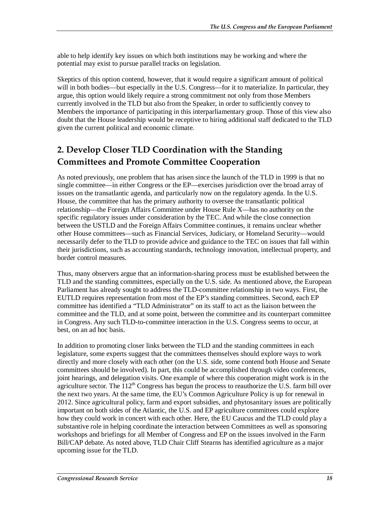able to help identify key issues on which both institutions may be working and where the potential may exist to pursue parallel tracks on legislation.

Skeptics of this option contend, however, that it would require a significant amount of political will in both bodies—but especially in the U.S. Congress—for it to materialize. In particular, they argue, this option would likely require a strong commitment not only from those Members currently involved in the TLD but also from the Speaker, in order to sufficiently convey to Members the importance of participating in this interparliamentary group. Those of this view also doubt that the House leadership would be receptive to hiring additional staff dedicated to the TLD given the current political and economic climate.

## **2. Develop Closer TLD Coordination with the Standing Committees and Promote Committee Cooperation**

As noted previously, one problem that has arisen since the launch of the TLD in 1999 is that no single committee—in either Congress or the EP—exercises jurisdiction over the broad array of issues on the transatlantic agenda, and particularly now on the regulatory agenda. In the U.S. House, the committee that has the primary authority to oversee the transatlantic political relationship—the Foreign Affairs Committee under House Rule X—has no authority on the specific regulatory issues under consideration by the TEC. And while the close connection between the USTLD and the Foreign Affairs Committee continues, it remains unclear whether other House committees—such as Financial Services, Judiciary, or Homeland Security—would necessarily defer to the TLD to provide advice and guidance to the TEC on issues that fall within their jurisdictions, such as accounting standards, technology innovation, intellectual property, and border control measures.

Thus, many observers argue that an information-sharing process must be established between the TLD and the standing committees, especially on the U.S. side. As mentioned above, the European Parliament has already sought to address the TLD-committee relationship in two ways. First, the EUTLD requires representation from most of the EP's standing committees. Second, each EP committee has identified a "TLD Administrator" on its staff to act as the liaison between the committee and the TLD, and at some point, between the committee and its counterpart committee in Congress. Any such TLD-to-committee interaction in the U.S. Congress seems to occur, at best, on an ad hoc basis.

In addition to promoting closer links between the TLD and the standing committees in each legislature, some experts suggest that the committees themselves should explore ways to work directly and more closely with each other (on the U.S. side, some contend both House and Senate committees should be involved). In part, this could be accomplished through video conferences, joint hearings, and delegation visits. One example of where this cooperation might work is in the agriculture sector. The  $112<sup>th</sup>$  Congress has begun the process to reauthorize the U.S. farm bill over the next two years. At the same time, the EU's Common Agriculture Policy is up for renewal in 2012. Since agricultural policy, farm and export subsidies, and phytosanitary issues are politically important on both sides of the Atlantic, the U.S. and EP agriculture committees could explore how they could work in concert with each other. Here, the EU Caucus and the TLD could play a substantive role in helping coordinate the interaction between Committees as well as sponsoring workshops and briefings for all Member of Congress and EP on the issues involved in the Farm Bill/CAP debate. As noted above, TLD Chair Cliff Stearns has identified agriculture as a major upcoming issue for the TLD.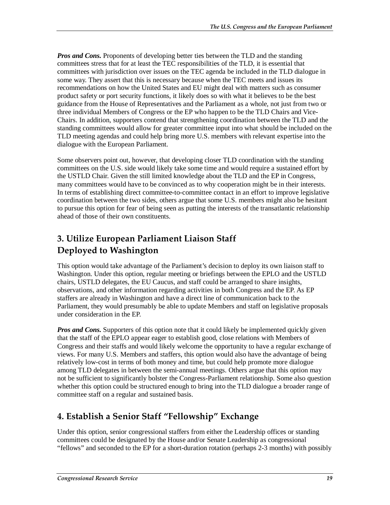*Pros and Cons.* Proponents of developing better ties between the TLD and the standing committees stress that for at least the TEC responsibilities of the TLD, it is essential that committees with jurisdiction over issues on the TEC agenda be included in the TLD dialogue in some way. They assert that this is necessary because when the TEC meets and issues its recommendations on how the United States and EU might deal with matters such as consumer product safety or port security functions, it likely does so with what it believes to be the best guidance from the House of Representatives and the Parliament as a whole, not just from two or three individual Members of Congress or the EP who happen to be the TLD Chairs and Vice-Chairs. In addition, supporters contend that strengthening coordination between the TLD and the standing committees would allow for greater committee input into what should be included on the TLD meeting agendas and could help bring more U.S. members with relevant expertise into the dialogue with the European Parliament.

Some observers point out, however, that developing closer TLD coordination with the standing committees on the U.S. side would likely take some time and would require a sustained effort by the USTLD Chair. Given the still limited knowledge about the TLD and the EP in Congress, many committees would have to be convinced as to why cooperation might be in their interests. In terms of establishing direct committee-to-committee contact in an effort to improve legislative coordination between the two sides, others argue that some U.S. members might also be hesitant to pursue this option for fear of being seen as putting the interests of the transatlantic relationship ahead of those of their own constituents.

## **3. Utilize European Parliament Liaison Staff Deployed to Washington**

This option would take advantage of the Parliament's decision to deploy its own liaison staff to Washington. Under this option, regular meeting or briefings between the EPLO and the USTLD chairs, USTLD delegates, the EU Caucus, and staff could be arranged to share insights, observations, and other information regarding activities in both Congress and the EP. As EP staffers are already in Washington and have a direct line of communication back to the Parliament, they would presumably be able to update Members and staff on legislative proposals under consideration in the EP.

*Pros and Cons.* Supporters of this option note that it could likely be implemented quickly given that the staff of the EPLO appear eager to establish good, close relations with Members of Congress and their staffs and would likely welcome the opportunity to have a regular exchange of views. For many U.S. Members and staffers, this option would also have the advantage of being relatively low-cost in terms of both money and time, but could help promote more dialogue among TLD delegates in between the semi-annual meetings. Others argue that this option may not be sufficient to significantly bolster the Congress-Parliament relationship. Some also question whether this option could be structured enough to bring into the TLD dialogue a broader range of committee staff on a regular and sustained basis.

#### **4. Establish a Senior Staff "Fellowship" Exchange**

Under this option, senior congressional staffers from either the Leadership offices or standing committees could be designated by the House and/or Senate Leadership as congressional "fellows" and seconded to the EP for a short-duration rotation (perhaps 2-3 months) with possibly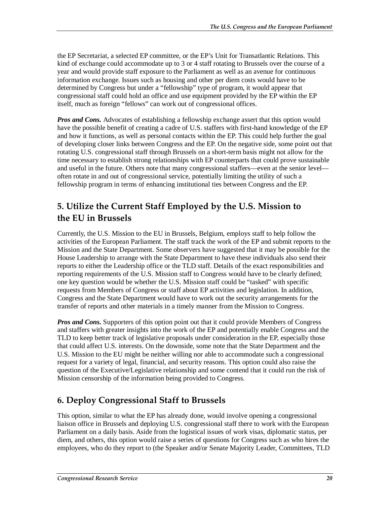the EP Secretariat, a selected EP committee, or the EP's Unit for Transatlantic Relations. This kind of exchange could accommodate up to 3 or 4 staff rotating to Brussels over the course of a year and would provide staff exposure to the Parliament as well as an avenue for continuous information exchange. Issues such as housing and other per diem costs would have to be determined by Congress but under a "fellowship" type of program, it would appear that congressional staff could hold an office and use equipment provided by the EP within the EP itself, much as foreign "fellows" can work out of congressional offices.

*Pros and Cons.* Advocates of establishing a fellowship exchange assert that this option would have the possible benefit of creating a cadre of U.S. staffers with first-hand knowledge of the EP and how it functions, as well as personal contacts within the EP. This could help further the goal of developing closer links between Congress and the EP. On the negative side, some point out that rotating U.S. congressional staff through Brussels on a short-term basis might not allow for the time necessary to establish strong relationships with EP counterparts that could prove sustainable and useful in the future. Others note that many congressional staffers—even at the senior level often rotate in and out of congressional service, potentially limiting the utility of such a fellowship program in terms of enhancing institutional ties between Congress and the EP.

### **5. Utilize the Current Staff Employed by the U.S. Mission to the EU in Brussels**

Currently, the U.S. Mission to the EU in Brussels, Belgium, employs staff to help follow the activities of the European Parliament. The staff track the work of the EP and submit reports to the Mission and the State Department. Some observers have suggested that it may be possible for the House Leadership to arrange with the State Department to have these individuals also send their reports to either the Leadership office or the TLD staff. Details of the exact responsibilities and reporting requirements of the U.S. Mission staff to Congress would have to be clearly defined; one key question would be whether the U.S. Mission staff could be "tasked" with specific requests from Members of Congress or staff about EP activities and legislation. In addition, Congress and the State Department would have to work out the security arrangements for the transfer of reports and other materials in a timely manner from the Mission to Congress.

*Pros and Cons.* Supporters of this option point out that it could provide Members of Congress and staffers with greater insights into the work of the EP and potentially enable Congress and the TLD to keep better track of legislative proposals under consideration in the EP, especially those that could affect U.S. interests. On the downside, some note that the State Department and the U.S. Mission to the EU might be neither willing nor able to accommodate such a congressional request for a variety of legal, financial, and security reasons. This option could also raise the question of the Executive/Legislative relationship and some contend that it could run the risk of Mission censorship of the information being provided to Congress.

## **6. Deploy Congressional Staff to Brussels**

This option, similar to what the EP has already done, would involve opening a congressional liaison office in Brussels and deploying U.S. congressional staff there to work with the European Parliament on a daily basis. Aside from the logistical issues of work visas, diplomatic status, per diem, and others, this option would raise a series of questions for Congress such as who hires the employees, who do they report to (the Speaker and/or Senate Majority Leader, Committees, TLD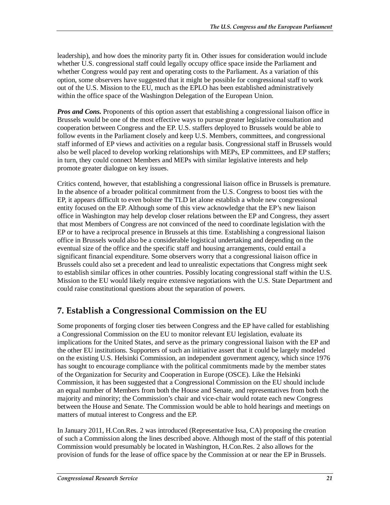leadership), and how does the minority party fit in. Other issues for consideration would include whether U.S. congressional staff could legally occupy office space inside the Parliament and whether Congress would pay rent and operating costs to the Parliament. As a variation of this option, some observers have suggested that it might be possible for congressional staff to work out of the U.S. Mission to the EU, much as the EPLO has been established administratively within the office space of the Washington Delegation of the European Union.

*Pros and Cons.* Proponents of this option assert that establishing a congressional liaison office in Brussels would be one of the most effective ways to pursue greater legislative consultation and cooperation between Congress and the EP. U.S. staffers deployed to Brussels would be able to follow events in the Parliament closely and keep U.S. Members, committees, and congressional staff informed of EP views and activities on a regular basis. Congressional staff in Brussels would also be well placed to develop working relationships with MEPs, EP committees, and EP staffers; in turn, they could connect Members and MEPs with similar legislative interests and help promote greater dialogue on key issues.

Critics contend, however, that establishing a congressional liaison office in Brussels is premature. In the absence of a broader political commitment from the U.S. Congress to boost ties with the EP, it appears difficult to even bolster the TLD let alone establish a whole new congressional entity focused on the EP. Although some of this view acknowledge that the EP's new liaison office in Washington may help develop closer relations between the EP and Congress, they assert that most Members of Congress are not convinced of the need to coordinate legislation with the EP or to have a reciprocal presence in Brussels at this time. Establishing a congressional liaison office in Brussels would also be a considerable logistical undertaking and depending on the eventual size of the office and the specific staff and housing arrangements, could entail a significant financial expenditure. Some observers worry that a congressional liaison office in Brussels could also set a precedent and lead to unrealistic expectations that Congress might seek to establish similar offices in other countries. Possibly locating congressional staff within the U.S. Mission to the EU would likely require extensive negotiations with the U.S. State Department and could raise constitutional questions about the separation of powers.

#### **7. Establish a Congressional Commission on the EU**

Some proponents of forging closer ties between Congress and the EP have called for establishing a Congressional Commission on the EU to monitor relevant EU legislation, evaluate its implications for the United States, and serve as the primary congressional liaison with the EP and the other EU institutions. Supporters of such an initiative assert that it could be largely modeled on the existing U.S. Helsinki Commission, an independent government agency, which since 1976 has sought to encourage compliance with the political commitments made by the member states of the Organization for Security and Cooperation in Europe (OSCE). Like the Helsinki Commission, it has been suggested that a Congressional Commission on the EU should include an equal number of Members from both the House and Senate, and representatives from both the majority and minority; the Commission's chair and vice-chair would rotate each new Congress between the House and Senate. The Commission would be able to hold hearings and meetings on matters of mutual interest to Congress and the EP.

In January 2011, H.Con.Res. 2 was introduced (Representative Issa, CA) proposing the creation of such a Commission along the lines described above. Although most of the staff of this potential Commission would presumably be located in Washington, H.Con.Res. 2 also allows for the provision of funds for the lease of office space by the Commission at or near the EP in Brussels.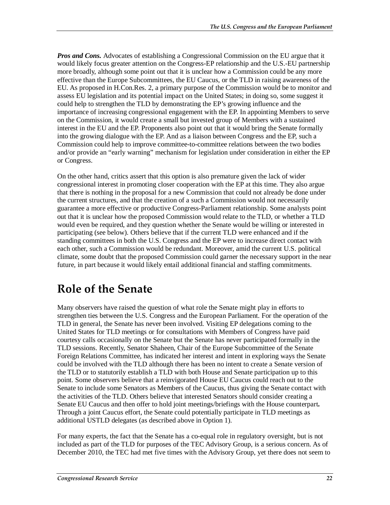*Pros and Cons.* Advocates of establishing a Congressional Commission on the EU argue that it would likely focus greater attention on the Congress-EP relationship and the U.S.-EU partnership more broadly, although some point out that it is unclear how a Commission could be any more effective than the Europe Subcommittees, the EU Caucus, or the TLD in raising awareness of the EU. As proposed in H.Con.Res. 2, a primary purpose of the Commission would be to monitor and assess EU legislation and its potential impact on the United States; in doing so, some suggest it could help to strengthen the TLD by demonstrating the EP's growing influence and the importance of increasing congressional engagement with the EP. In appointing Members to serve on the Commission, it would create a small but invested group of Members with a sustained interest in the EU and the EP. Proponents also point out that it would bring the Senate formally into the growing dialogue with the EP. And as a liaison between Congress and the EP, such a Commission could help to improve committee-to-committee relations between the two bodies and/or provide an "early warning" mechanism for legislation under consideration in either the EP or Congress.

On the other hand, critics assert that this option is also premature given the lack of wider congressional interest in promoting closer cooperation with the EP at this time. They also argue that there is nothing in the proposal for a new Commission that could not already be done under the current structures, and that the creation of a such a Commission would not necessarily guarantee a more effective or productive Congress-Parliament relationship. Some analysts point out that it is unclear how the proposed Commission would relate to the TLD, or whether a TLD would even be required, and they question whether the Senate would be willing or interested in participating (see below). Others believe that if the current TLD were enhanced and if the standing committees in both the U.S. Congress and the EP were to increase direct contact with each other, such a Commission would be redundant. Moreover, amid the current U.S. political climate, some doubt that the proposed Commission could garner the necessary support in the near future, in part because it would likely entail additional financial and staffing commitments.

# **Role of the Senate**

Many observers have raised the question of what role the Senate might play in efforts to strengthen ties between the U.S. Congress and the European Parliament. For the operation of the TLD in general, the Senate has never been involved. Visiting EP delegations coming to the United States for TLD meetings or for consultations with Members of Congress have paid courtesy calls occasionally on the Senate but the Senate has never participated formally in the TLD sessions. Recently, Senator Shaheen, Chair of the Europe Subcommittee of the Senate Foreign Relations Committee, has indicated her interest and intent in exploring ways the Senate could be involved with the TLD although there has been no intent to create a Senate version of the TLD or to statutorily establish a TLD with both House and Senate participation up to this point. Some observers believe that a reinvigorated House EU Caucus could reach out to the Senate to include some Senators as Members of the Caucus, thus giving the Senate contact with the activities of the TLD. Others believe that interested Senators should consider creating a Senate EU Caucus and then offer to hold joint meetings/briefings with the House counterpart**.**  Through a joint Caucus effort, the Senate could potentially participate in TLD meetings as additional USTLD delegates (as described above in Option 1).

For many experts, the fact that the Senate has a co-equal role in regulatory oversight, but is not included as part of the TLD for purposes of the TEC Advisory Group, is a serious concern. As of December 2010, the TEC had met five times with the Advisory Group, yet there does not seem to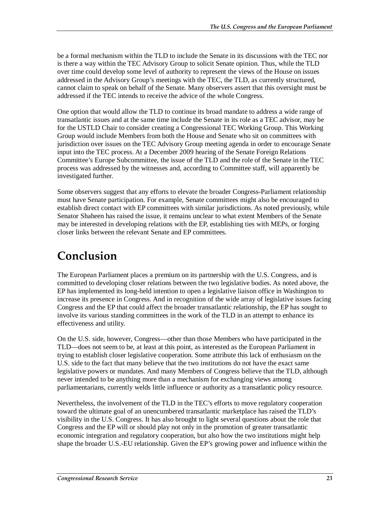be a formal mechanism within the TLD to include the Senate in its discussions with the TEC nor is there a way within the TEC Advisory Group to solicit Senate opinion. Thus, while the TLD over time could develop some level of authority to represent the views of the House on issues addressed in the Advisory Group's meetings with the TEC, the TLD, as currently structured, cannot claim to speak on behalf of the Senate. Many observers assert that this oversight must be addressed if the TEC intends to receive the advice of the whole Congress.

One option that would allow the TLD to continue its broad mandate to address a wide range of transatlantic issues and at the same time include the Senate in its role as a TEC advisor, may be for the USTLD Chair to consider creating a Congressional TEC Working Group. This Working Group would include Members from both the House and Senate who sit on committees with jurisdiction over issues on the TEC Advisory Group meeting agenda in order to encourage Senate input into the TEC process. At a December 2009 hearing of the Senate Foreign Relations Committee's Europe Subcommittee, the issue of the TLD and the role of the Senate in the TEC process was addressed by the witnesses and, according to Committee staff, will apparently be investigated further.

Some observers suggest that any efforts to elevate the broader Congress-Parliament relationship must have Senate participation. For example, Senate committees might also be encouraged to establish direct contact with EP committees with similar jurisdictions. As noted previously, while Senator Shaheen has raised the issue, it remains unclear to what extent Members of the Senate may be interested in developing relations with the EP, establishing ties with MEPs, or forging closer links between the relevant Senate and EP committees.

# **Conclusion**

The European Parliament places a premium on its partnership with the U.S. Congress, and is committed to developing closer relations between the two legislative bodies. As noted above, the EP has implemented its long-held intention to open a legislative liaison office in Washington to increase its presence in Congress. And in recognition of the wide array of legislative issues facing Congress and the EP that could affect the broader transatlantic relationship, the EP has sought to involve its various standing committees in the work of the TLD in an attempt to enhance its effectiveness and utility.

On the U.S. side, however, Congress—other than those Members who have participated in the TLD—does not seem to be, at least at this point, as interested as the European Parliament in trying to establish closer legislative cooperation. Some attribute this lack of enthusiasm on the U.S. side to the fact that many believe that the two institutions do not have the exact same legislative powers or mandates. And many Members of Congress believe that the TLD, although never intended to be anything more than a mechanism for exchanging views among parliamentarians, currently welds little influence or authority as a transatlantic policy resource.

Nevertheless, the involvement of the TLD in the TEC's efforts to move regulatory cooperation toward the ultimate goal of an unencumbered transatlantic marketplace has raised the TLD's visibility in the U.S. Congress. It has also brought to light several questions about the role that Congress and the EP will or should play not only in the promotion of greater transatlantic economic integration and regulatory cooperation, but also how the two institutions might help shape the broader U.S.-EU relationship. Given the EP's growing power and influence within the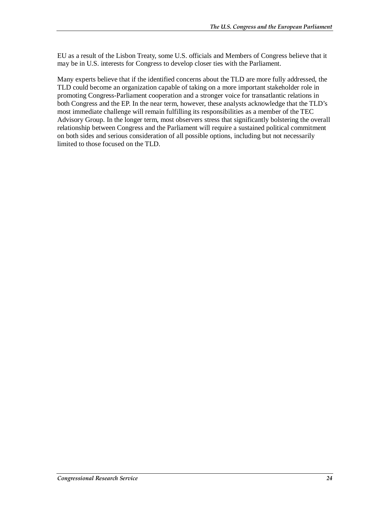EU as a result of the Lisbon Treaty, some U.S. officials and Members of Congress believe that it may be in U.S. interests for Congress to develop closer ties with the Parliament.

Many experts believe that if the identified concerns about the TLD are more fully addressed, the TLD could become an organization capable of taking on a more important stakeholder role in promoting Congress-Parliament cooperation and a stronger voice for transatlantic relations in both Congress and the EP. In the near term, however, these analysts acknowledge that the TLD's most immediate challenge will remain fulfilling its responsibilities as a member of the TEC Advisory Group. In the longer term, most observers stress that significantly bolstering the overall relationship between Congress and the Parliament will require a sustained political commitment on both sides and serious consideration of all possible options, including but not necessarily limited to those focused on the TLD.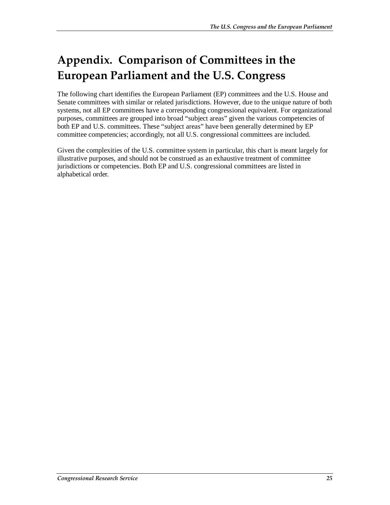# **Appendix. Comparison of Committees in the European Parliament and the U.S. Congress**

The following chart identifies the European Parliament (EP) committees and the U.S. House and Senate committees with similar or related jurisdictions. However, due to the unique nature of both systems, not all EP committees have a corresponding congressional equivalent. For organizational purposes, committees are grouped into broad "subject areas" given the various competencies of both EP and U.S. committees. These "subject areas" have been generally determined by EP committee competencies; accordingly, not all U.S. congressional committees are included.

Given the complexities of the U.S. committee system in particular, this chart is meant largely for illustrative purposes, and should not be construed as an exhaustive treatment of committee jurisdictions or competencies. Both EP and U.S. congressional committees are listed in alphabetical order.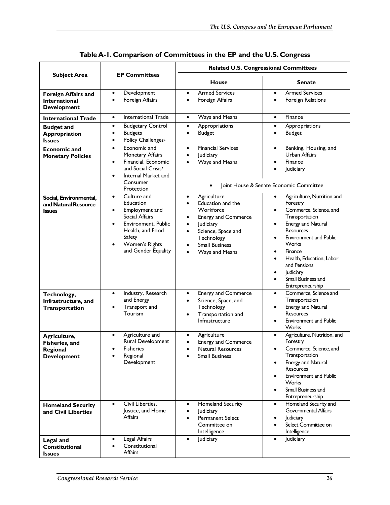|                                                                   |                                                                                                                                                                                           | <b>Related U.S. Congressional Committees</b>                                                                                                                                              |                                                                                                                                                                                                                                                                                                                                  |  |
|-------------------------------------------------------------------|-------------------------------------------------------------------------------------------------------------------------------------------------------------------------------------------|-------------------------------------------------------------------------------------------------------------------------------------------------------------------------------------------|----------------------------------------------------------------------------------------------------------------------------------------------------------------------------------------------------------------------------------------------------------------------------------------------------------------------------------|--|
| <b>Subject Area</b>                                               | <b>EP Committees</b>                                                                                                                                                                      | <b>House</b>                                                                                                                                                                              | <b>Senate</b>                                                                                                                                                                                                                                                                                                                    |  |
| Foreign Affairs and<br><b>International</b><br><b>Development</b> | Development<br>$\bullet$<br>Foreign Affairs<br>$\bullet$                                                                                                                                  | <b>Armed Services</b><br>$\bullet$<br>Foreign Affairs                                                                                                                                     | <b>Armed Services</b><br>$\bullet$<br>Foreign Relations<br>$\bullet$                                                                                                                                                                                                                                                             |  |
| <b>International Trade</b>                                        | International Trade<br>$\bullet$                                                                                                                                                          | Ways and Means<br>$\bullet$                                                                                                                                                               | Finance<br>$\bullet$                                                                                                                                                                                                                                                                                                             |  |
| <b>Budget and</b><br>Appropriation<br><b>Issues</b>               | <b>Budgetary Control</b><br>$\bullet$<br><b>Budgets</b><br>$\bullet$<br>Policy Challenges <sup>a</sup><br>$\bullet$                                                                       | Appropriations<br>$\bullet$<br><b>Budget</b><br>$\bullet$                                                                                                                                 | Appropriations<br><b>Budget</b><br>$\bullet$                                                                                                                                                                                                                                                                                     |  |
| <b>Economic and</b><br><b>Monetary Policies</b>                   | Economic and<br>$\bullet$<br>Monetary Affairs<br>Financial, Economic<br>$\bullet$<br>and Social Crisis <sup>a</sup><br>Internal Market and<br>Consumer<br>Protection                      | <b>Financial Services</b><br>$\bullet$<br>Judiciary<br>$\bullet$<br>Ways and Means                                                                                                        | Banking, Housing, and<br>$\bullet$<br>Urban Affairs<br>Finance<br>Judiciary<br>$\bullet$<br>Joint House & Senate Economic Committee                                                                                                                                                                                              |  |
| Social, Environmental,<br>and Natural Resource<br><b>Issues</b>   | Culture and<br>$\bullet$<br>Education<br>Employment and<br>٠<br>Social Affairs<br>Environment, Public<br>$\bullet$<br>Health, and Food<br>Safety<br>Women's Rights<br>and Gender Equality | Agriculture<br>$\bullet$<br>Education and the<br>Workforce<br><b>Energy and Commerce</b><br>Judiciary<br>Science, Space and<br>٠<br>Technology<br><b>Small Business</b><br>Ways and Means | Agriculture, Nutrition and<br>$\bullet$<br>Forestry<br>Commerce, Science, and<br>Transportation<br>Energy and Natural<br>$\bullet$<br><b>Resources</b><br><b>Environment and Public</b><br>٠<br>Works<br>Finance<br>Health, Education, Labor<br>$\bullet$<br>and Pensions<br>Judiciary<br>Small Business and<br>Entrepreneurship |  |
| Technology,<br>Infrastructure, and<br>Transportation              | Industry, Research<br>$\bullet$<br>and Energy<br>Transport and<br>$\bullet$<br>Tourism                                                                                                    | <b>Energy and Commerce</b><br>$\bullet$<br>Science, Space, and<br>$\bullet$<br>Technology<br>Transportation and<br>$\bullet$<br>Infrastructure                                            | Commerce, Science and<br>$\bullet$<br>Transportation<br>Energy and Natural<br>$\bullet$<br><b>Resources</b><br><b>Environment and Public</b><br>Works                                                                                                                                                                            |  |
| Agriculture,<br>Fisheries, and<br>Regional<br><b>Development</b>  | Agriculture and<br>$\bullet$<br>Rural Development<br><b>Fisheries</b><br>Regional<br>Development                                                                                          | Agriculture<br>$\bullet$<br><b>Energy and Commerce</b><br>$\bullet$<br>Natural Resources<br><b>Small Business</b>                                                                         | Agriculture, Nutrition, and<br>$\bullet$<br>Forestry<br>Commerce, Science, and<br>٠<br>Transportation<br>Energy and Natural<br>Resources<br><b>Environment and Public</b><br>Works<br>Small Business and<br>Entrepreneurship                                                                                                     |  |
| <b>Homeland Security</b><br>and Civil Liberties                   | Civil Liberties,<br>$\bullet$<br>Justice, and Home<br>Affairs                                                                                                                             | <b>Homeland Security</b><br>$\bullet$<br>Judiciary<br><b>Permanent Select</b><br>Committee on<br>Intelligence                                                                             | Homeland Security and<br>$\bullet$<br><b>Governmental Affairs</b><br>Judiciary<br>Select Committee on<br>Intelligence                                                                                                                                                                                                            |  |
| <b>Legal and</b><br><b>Constitutional</b><br><b>Issues</b>        | Legal Affairs<br>$\bullet$<br>Constitutional<br>$\bullet$<br>Affairs                                                                                                                      | Judiciary<br>$\bullet$                                                                                                                                                                    | Judiciary<br>$\bullet$                                                                                                                                                                                                                                                                                                           |  |

**Table A-1. Comparison of Committees in the EP and the U.S. Congress**